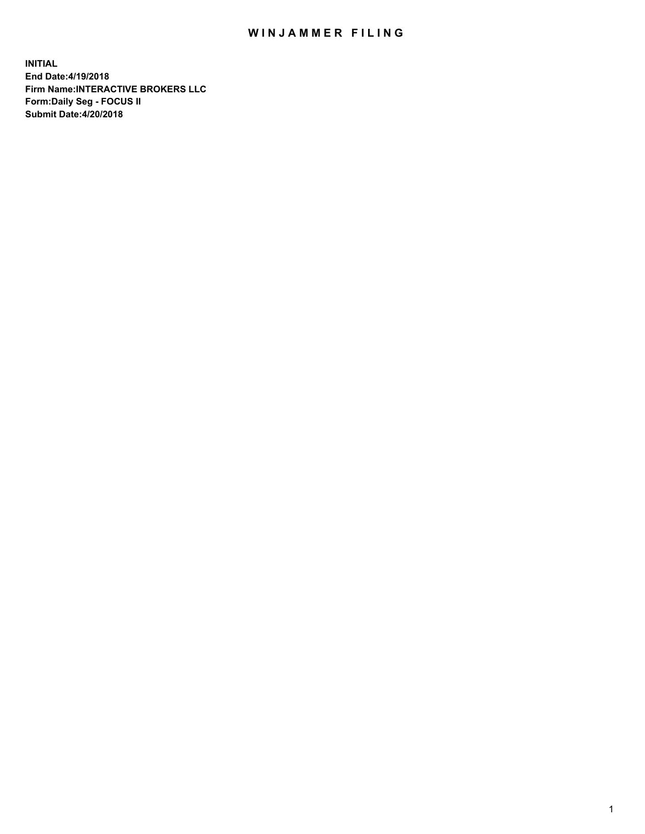## WIN JAMMER FILING

**INITIAL End Date:4/19/2018 Firm Name:INTERACTIVE BROKERS LLC Form:Daily Seg - FOCUS II Submit Date:4/20/2018**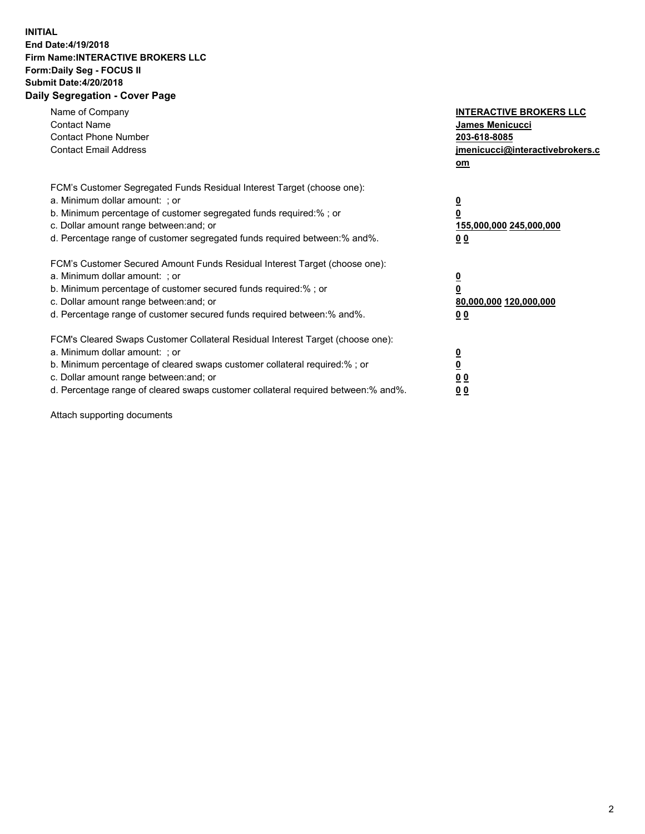## **INITIAL End Date:4/19/2018 Firm Name:INTERACTIVE BROKERS LLC Form:Daily Seg - FOCUS II Submit Date:4/20/2018 Daily Segregation - Cover Page**

| Name of Company<br><b>Contact Name</b><br><b>Contact Phone Number</b>                                                                                                                                                                                                                                                          | <b>INTERACTIVE BROKERS LLC</b><br><b>James Menicucci</b><br>203-618-8085                        |
|--------------------------------------------------------------------------------------------------------------------------------------------------------------------------------------------------------------------------------------------------------------------------------------------------------------------------------|-------------------------------------------------------------------------------------------------|
| <b>Contact Email Address</b>                                                                                                                                                                                                                                                                                                   | jmenicucci@interactivebrokers.c<br>om                                                           |
| FCM's Customer Segregated Funds Residual Interest Target (choose one):<br>a. Minimum dollar amount: ; or<br>b. Minimum percentage of customer segregated funds required:% ; or<br>c. Dollar amount range between: and; or<br>d. Percentage range of customer segregated funds required between:% and%.                         | $\overline{\mathbf{0}}$<br>$\overline{\mathbf{0}}$<br>155,000,000 245,000,000<br>0 <sub>0</sub> |
| FCM's Customer Secured Amount Funds Residual Interest Target (choose one):<br>a. Minimum dollar amount: ; or<br>b. Minimum percentage of customer secured funds required:%; or<br>c. Dollar amount range between: and; or<br>d. Percentage range of customer secured funds required between: % and %.                          | $\overline{\mathbf{0}}$<br>$\overline{\mathbf{0}}$<br>80,000,000 120,000,000<br>0 <sub>0</sub>  |
| FCM's Cleared Swaps Customer Collateral Residual Interest Target (choose one):<br>a. Minimum dollar amount: ; or<br>b. Minimum percentage of cleared swaps customer collateral required:% ; or<br>c. Dollar amount range between: and; or<br>d. Percentage range of cleared swaps customer collateral required between:% and%. | $\overline{\mathbf{0}}$<br>$\underline{\mathbf{0}}$<br>0 <sub>0</sub><br>0 <sup>0</sup>         |

Attach supporting documents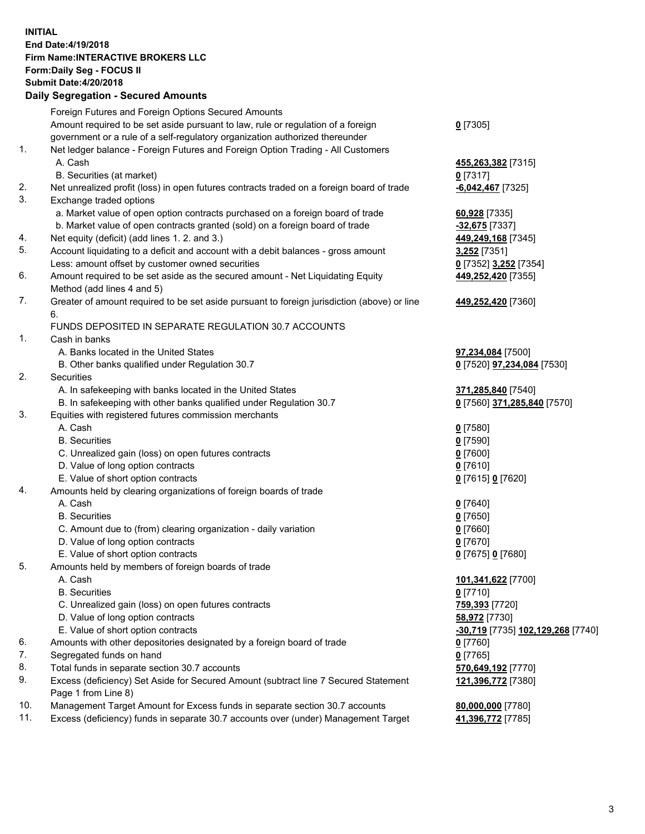## **INITIAL End Date:4/19/2018 Firm Name:INTERACTIVE BROKERS LLC Form:Daily Seg - FOCUS II Submit Date:4/20/2018 Daily Segregation - Secured Amounts**

|                | Daily Ocglegation - Occarea Anioants                                                        |                                   |
|----------------|---------------------------------------------------------------------------------------------|-----------------------------------|
|                | Foreign Futures and Foreign Options Secured Amounts                                         |                                   |
|                | Amount required to be set aside pursuant to law, rule or regulation of a foreign            | $0$ [7305]                        |
|                | government or a rule of a self-regulatory organization authorized thereunder                |                                   |
| 1.             | Net ledger balance - Foreign Futures and Foreign Option Trading - All Customers             |                                   |
|                | A. Cash                                                                                     | 455,263,382 [7315]                |
|                | B. Securities (at market)                                                                   | $0$ [7317]                        |
| 2.             | Net unrealized profit (loss) in open futures contracts traded on a foreign board of trade   | $-6,042,467$ [7325]               |
| 3.             | Exchange traded options                                                                     |                                   |
|                | a. Market value of open option contracts purchased on a foreign board of trade              | 60,928 [7335]                     |
|                | b. Market value of open contracts granted (sold) on a foreign board of trade                | -32,675 [7337]                    |
| 4.             | Net equity (deficit) (add lines 1.2. and 3.)                                                | 449,249,168 [7345]                |
| 5.             | Account liquidating to a deficit and account with a debit balances - gross amount           | 3,252 [7351]                      |
|                | Less: amount offset by customer owned securities                                            | 0 [7352] 3,252 [7354]             |
| 6.             | Amount required to be set aside as the secured amount - Net Liquidating Equity              | 449,252,420 [7355]                |
|                | Method (add lines 4 and 5)                                                                  |                                   |
| 7.             | Greater of amount required to be set aside pursuant to foreign jurisdiction (above) or line | 449,252,420 [7360]                |
|                | 6.                                                                                          |                                   |
|                | FUNDS DEPOSITED IN SEPARATE REGULATION 30.7 ACCOUNTS                                        |                                   |
| $\mathbf{1}$ . | Cash in banks                                                                               |                                   |
|                | A. Banks located in the United States                                                       | 97,234,084 [7500]                 |
|                | B. Other banks qualified under Regulation 30.7                                              | 0 [7520] 97,234,084 [7530]        |
| 2.             | Securities                                                                                  |                                   |
|                | A. In safekeeping with banks located in the United States                                   | 371,285,840 [7540]                |
|                | B. In safekeeping with other banks qualified under Regulation 30.7                          | 0 [7560] 371,285,840 [7570]       |
| 3.             | Equities with registered futures commission merchants                                       |                                   |
|                | A. Cash                                                                                     | $0$ [7580]                        |
|                | <b>B.</b> Securities                                                                        | $0$ [7590]                        |
|                | C. Unrealized gain (loss) on open futures contracts                                         | $0$ [7600]                        |
|                | D. Value of long option contracts                                                           | $0$ [7610]                        |
|                | E. Value of short option contracts                                                          | 0 [7615] 0 [7620]                 |
| 4.             | Amounts held by clearing organizations of foreign boards of trade                           |                                   |
|                | A. Cash                                                                                     | $0$ [7640]                        |
|                | <b>B.</b> Securities                                                                        | $0$ [7650]                        |
|                | C. Amount due to (from) clearing organization - daily variation                             | $0$ [7660]                        |
|                | D. Value of long option contracts                                                           | $0$ [7670]                        |
| 5.             | E. Value of short option contracts                                                          | 0 [7675] 0 [7680]                 |
|                | Amounts held by members of foreign boards of trade<br>A. Cash                               |                                   |
|                | <b>B.</b> Securities                                                                        | 101,341,622 [7700]<br>$0$ [7710]  |
|                | C. Unrealized gain (loss) on open futures contracts                                         | 759,393 [7720]                    |
|                | D. Value of long option contracts                                                           | 58,972 [7730]                     |
|                | E. Value of short option contracts                                                          | -30,719 [7735] 102,129,268 [7740] |
| 6.             | Amounts with other depositories designated by a foreign board of trade                      | 0 [7760]                          |
| 7.             | Segregated funds on hand                                                                    | $0$ [7765]                        |
| 8.             | Total funds in separate section 30.7 accounts                                               | 570,649,192 [7770]                |
| 9.             | Excess (deficiency) Set Aside for Secured Amount (subtract line 7 Secured Statement         |                                   |
|                | Page 1 from Line 8)                                                                         | 121,396,772 [7380]                |
| 10.            | Management Target Amount for Excess funds in separate section 30.7 accounts                 | 80,000,000 [7780]                 |
| 11.            | Excess (deficiency) funds in separate 30.7 accounts over (under) Management Target          | 41,396,772 [7785]                 |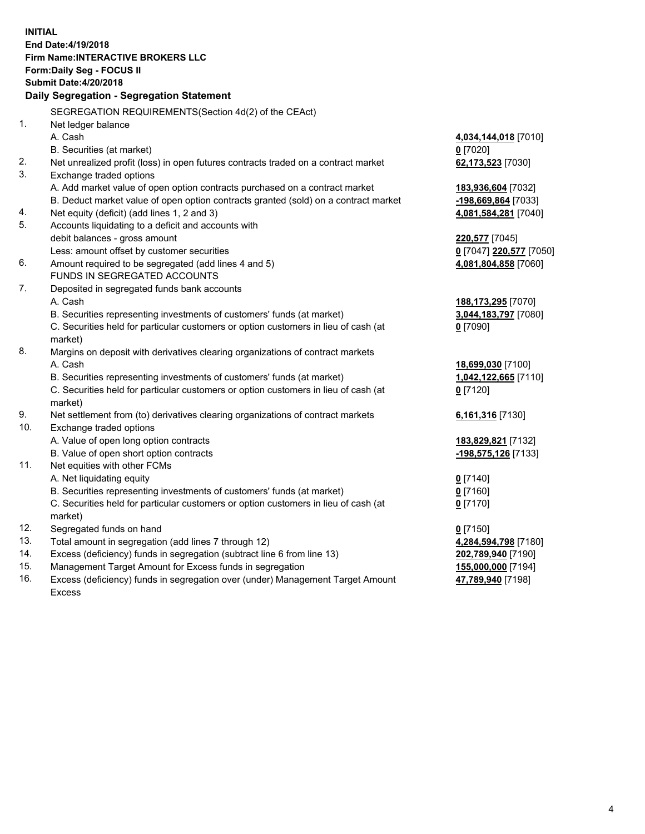**INITIAL End Date:4/19/2018 Firm Name:INTERACTIVE BROKERS LLC Form:Daily Seg - FOCUS II Submit Date:4/20/2018 Daily Segregation - Segregation Statement** SEGREGATION REQUIREMENTS(Section 4d(2) of the CEAct) 1. Net ledger balance A. Cash **4,034,144,018** [7010] B. Securities (at market) **0** [7020] 2. Net unrealized profit (loss) in open futures contracts traded on a contract market **62,173,523** [7030] 3. Exchange traded options A. Add market value of open option contracts purchased on a contract market **183,936,604** [7032] B. Deduct market value of open option contracts granted (sold) on a contract market **-198,669,864** [7033] 4. Net equity (deficit) (add lines 1, 2 and 3) **4,081,584,281** [7040] 5. Accounts liquidating to a deficit and accounts with debit balances - gross amount **220,577** [7045] Less: amount offset by customer securities **0** [7047] **220,577** [7050] 6. Amount required to be segregated (add lines 4 and 5) **4,081,804,858** [7060] FUNDS IN SEGREGATED ACCOUNTS 7. Deposited in segregated funds bank accounts A. Cash **188,173,295** [7070] B. Securities representing investments of customers' funds (at market) **3,044,183,797** [7080] C. Securities held for particular customers or option customers in lieu of cash (at market) **0** [7090] 8. Margins on deposit with derivatives clearing organizations of contract markets A. Cash **18,699,030** [7100] B. Securities representing investments of customers' funds (at market) **1,042,122,665** [7110] C. Securities held for particular customers or option customers in lieu of cash (at market) **0** [7120] 9. Net settlement from (to) derivatives clearing organizations of contract markets **6,161,316** [7130] 10. Exchange traded options A. Value of open long option contracts **183,829,821** [7132] B. Value of open short option contracts **-198,575,126** [7133] 11. Net equities with other FCMs A. Net liquidating equity **0** [7140] B. Securities representing investments of customers' funds (at market) **0** [7160] C. Securities held for particular customers or option customers in lieu of cash (at market) **0** [7170] 12. Segregated funds on hand **0** [7150] 13. Total amount in segregation (add lines 7 through 12) **4,284,594,798** [7180] 14. Excess (deficiency) funds in segregation (subtract line 6 from line 13) **202,789,940** [7190] 15. Management Target Amount for Excess funds in segregation **155,000,000** [7194] **47,789,940** [7198]

16. Excess (deficiency) funds in segregation over (under) Management Target Amount Excess